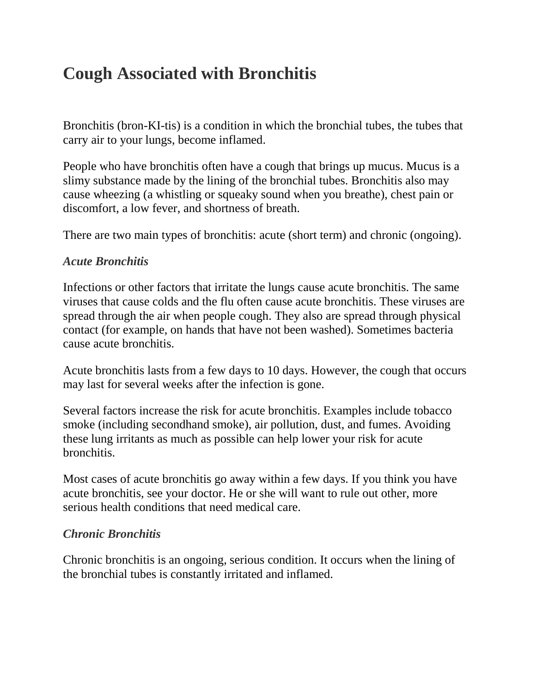# **Cough Associated with Bronchitis**

Bronchitis (bron-KI-tis) is a condition in which the bronchial tubes, the tubes that carry air to your lungs, become inflamed.

People who have bronchitis often have a cough that brings up mucus. Mucus is a slimy substance made by the lining of the bronchial tubes. Bronchitis also may cause wheezing (a whistling or squeaky sound when you breathe), chest pain or discomfort, a low fever, and shortness of breath.

There are two main types of bronchitis: acute (short term) and chronic (ongoing).

#### *Acute Bronchitis*

Infections or other factors that irritate the lungs cause acute bronchitis. The same viruses that cause colds and the flu often cause acute bronchitis. These viruses are spread through the air when people cough. They also are spread through physical contact (for example, on hands that have not been washed). Sometimes bacteria cause acute bronchitis.

Acute bronchitis lasts from a few days to 10 days. However, the cough that occurs may last for several weeks after the infection is gone.

Several factors increase the risk for acute bronchitis. Examples include tobacco smoke (including secondhand smoke), air pollution, dust, and fumes. Avoiding these lung irritants as much as possible can help lower your risk for acute bronchitis.

Most cases of acute bronchitis go away within a few days. If you think you have acute bronchitis, see your doctor. He or she will want to rule out other, more serious health conditions that need medical care.

#### *Chronic Bronchitis*

Chronic bronchitis is an ongoing, serious condition. It occurs when the lining of the bronchial tubes is constantly irritated and inflamed.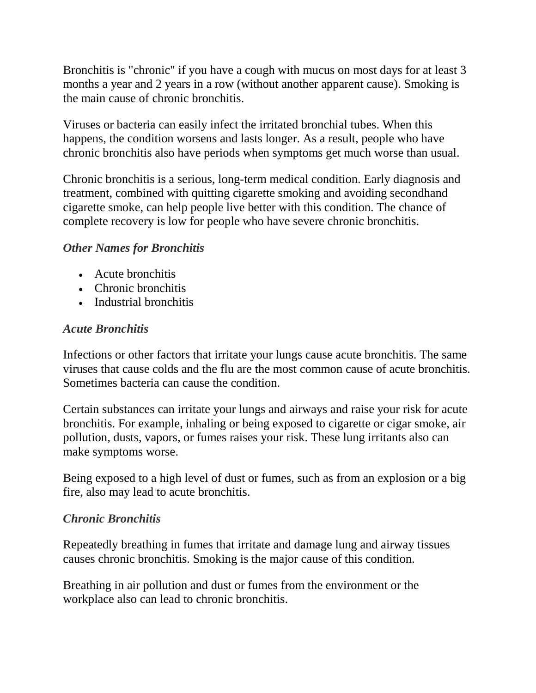Bronchitis is "chronic" if you have a cough with mucus on most days for at least 3 months a year and 2 years in a row (without another apparent cause). Smoking is the main cause of chronic bronchitis.

Viruses or bacteria can easily infect the irritated bronchial tubes. When this happens, the condition worsens and lasts longer. As a result, people who have chronic bronchitis also have periods when symptoms get much worse than usual.

Chronic bronchitis is a serious, long-term medical condition. Early diagnosis and treatment, combined with quitting cigarette smoking and avoiding secondhand cigarette smoke, can help people live better with this condition. The chance of complete recovery is low for people who have severe chronic bronchitis.

#### *Other Names for Bronchitis*

- Acute bronchitis
- Chronic bronchitis
- Industrial bronchitis

#### *Acute Bronchitis*

Infections or other factors that irritate your lungs cause acute bronchitis. The same viruses that cause colds and the flu are the most common cause of acute bronchitis. Sometimes bacteria can cause the condition.

Certain substances can irritate your lungs and airways and raise your risk for acute bronchitis. For example, inhaling or being exposed to cigarette or cigar smoke, air pollution, dusts, vapors, or fumes raises your risk. These lung irritants also can make symptoms worse.

Being exposed to a high level of dust or fumes, such as from an explosion or a big fire, also may lead to acute bronchitis.

#### *Chronic Bronchitis*

Repeatedly breathing in fumes that irritate and damage lung and airway tissues causes chronic bronchitis. Smoking is the major cause of this condition.

Breathing in air pollution and dust or fumes from the environment or the workplace also can lead to chronic bronchitis.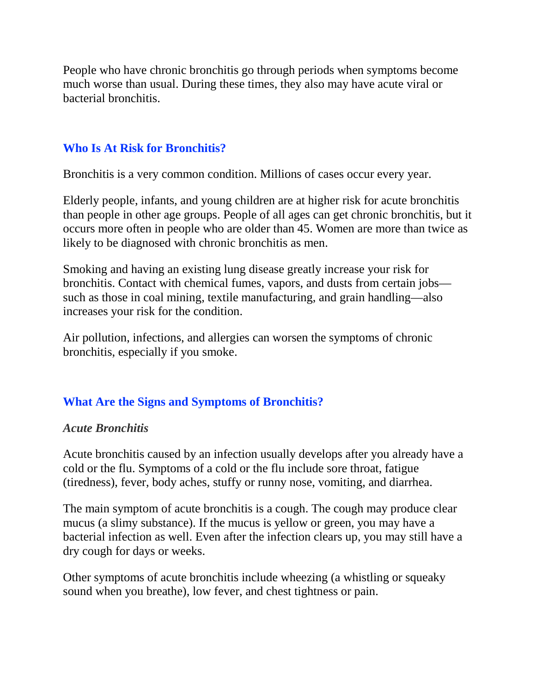People who have chronic bronchitis go through periods when symptoms become much worse than usual. During these times, they also may have acute viral or bacterial bronchitis.

## **Who Is At Risk for Bronchitis?**

Bronchitis is a very common condition. Millions of cases occur every year.

Elderly people, infants, and young children are at higher risk for acute bronchitis than people in other age groups. People of all ages can get chronic bronchitis, but it occurs more often in people who are older than 45. Women are more than twice as likely to be diagnosed with chronic bronchitis as men.

Smoking and having an existing lung disease greatly increase your risk for bronchitis. Contact with chemical fumes, vapors, and dusts from certain jobs such as those in coal mining, textile manufacturing, and grain handling—also increases your risk for the condition.

Air pollution, infections, and allergies can worsen the symptoms of chronic bronchitis, especially if you smoke.

# **What Are the Signs and Symptoms of Bronchitis?**

#### *Acute Bronchitis*

Acute bronchitis caused by an infection usually develops after you already have a cold or the flu. Symptoms of a cold or the flu include sore throat, fatigue (tiredness), fever, body aches, stuffy or runny nose, vomiting, and diarrhea.

The main symptom of acute bronchitis is a cough. The cough may produce clear mucus (a slimy substance). If the mucus is yellow or green, you may have a bacterial infection as well. Even after the infection clears up, you may still have a dry cough for days or weeks.

Other symptoms of acute bronchitis include wheezing (a whistling or squeaky sound when you breathe), low fever, and chest tightness or pain.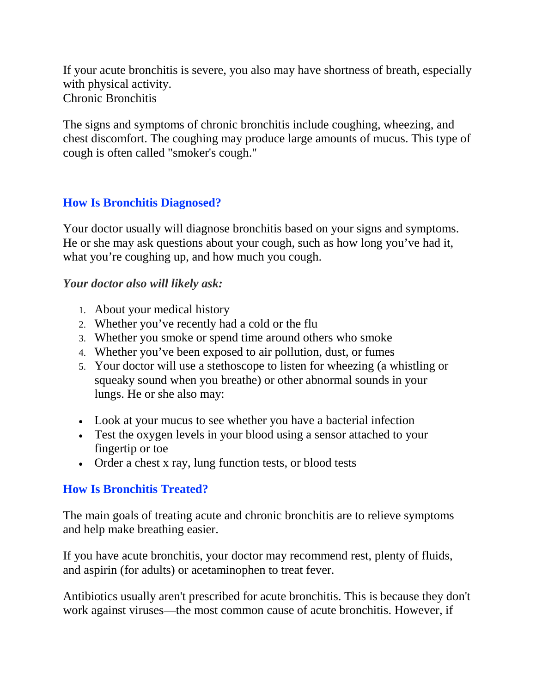If your acute bronchitis is severe, you also may have shortness of breath, especially with physical activity. Chronic Bronchitis

The signs and symptoms of chronic bronchitis include coughing, wheezing, and chest discomfort. The coughing may produce large amounts of mucus. This type of cough is often called "smoker's cough."

#### **How Is Bronchitis Diagnosed?**

Your doctor usually will diagnose bronchitis based on your signs and symptoms. He or she may ask questions about your cough, such as how long you've had it, what you're coughing up, and how much you cough.

#### *Your doctor also will likely ask:*

- 1. About your medical history
- 2. Whether you've recently had a cold or the flu
- 3. Whether you smoke or spend time around others who smoke
- 4. Whether you've been exposed to air pollution, dust, or fumes
- 5. Your doctor will use a stethoscope to listen for wheezing (a whistling or squeaky sound when you breathe) or other abnormal sounds in your lungs. He or she also may:
- Look at your mucus to see whether you have a bacterial infection
- Test the oxygen levels in your blood using a sensor attached to your fingertip or toe
- Order a chest x ray, lung function tests, or blood tests

#### **How Is Bronchitis Treated?**

The main goals of treating acute and chronic bronchitis are to relieve symptoms and help make breathing easier.

If you have acute bronchitis, your doctor may recommend rest, plenty of fluids, and aspirin (for adults) or acetaminophen to treat fever.

Antibiotics usually aren't prescribed for acute bronchitis. This is because they don't work against viruses—the most common cause of acute bronchitis. However, if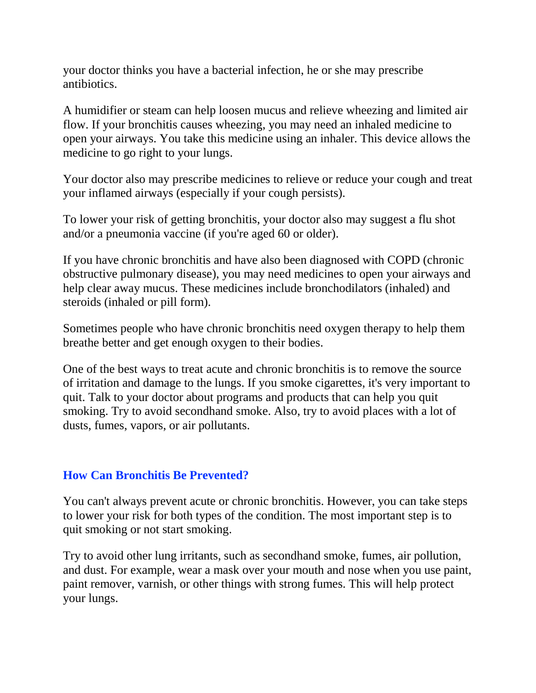your doctor thinks you have a bacterial infection, he or she may prescribe antibiotics.

A humidifier or steam can help loosen mucus and relieve wheezing and limited air flow. If your bronchitis causes wheezing, you may need an inhaled medicine to open your airways. You take this medicine using an inhaler. This device allows the medicine to go right to your lungs.

Your doctor also may prescribe medicines to relieve or reduce your cough and treat your inflamed airways (especially if your cough persists).

To lower your risk of getting bronchitis, your doctor also may suggest a flu shot and/or a pneumonia vaccine (if you're aged 60 or older).

If you have chronic bronchitis and have also been diagnosed with COPD (chronic obstructive pulmonary disease), you may need medicines to open your airways and help clear away mucus. These medicines include bronchodilators (inhaled) and steroids (inhaled or pill form).

Sometimes people who have chronic bronchitis need oxygen therapy to help them breathe better and get enough oxygen to their bodies.

One of the best ways to treat acute and chronic bronchitis is to remove the source of irritation and damage to the lungs. If you smoke cigarettes, it's very important to quit. Talk to your doctor about programs and products that can help you quit smoking. Try to avoid secondhand smoke. Also, try to avoid places with a lot of dusts, fumes, vapors, or air pollutants.

#### **How Can Bronchitis Be Prevented?**

You can't always prevent acute or chronic bronchitis. However, you can take steps to lower your risk for both types of the condition. The most important step is to quit smoking or not start smoking.

Try to avoid other lung irritants, such as secondhand smoke, fumes, air pollution, and dust. For example, wear a mask over your mouth and nose when you use paint, paint remover, varnish, or other things with strong fumes. This will help protect your lungs.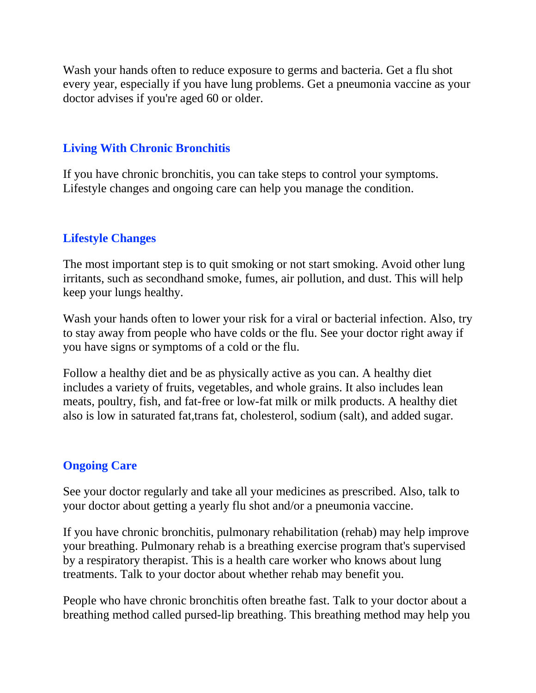Wash your hands often to reduce exposure to germs and bacteria. Get a flu shot every year, especially if you have lung problems. Get a pneumonia vaccine as your doctor advises if you're aged 60 or older.

## **Living With Chronic Bronchitis**

If you have chronic bronchitis, you can take steps to control your symptoms. Lifestyle changes and ongoing care can help you manage the condition.

## **Lifestyle Changes**

The most important step is to quit smoking or not start smoking. Avoid other lung irritants, such as secondhand smoke, fumes, air pollution, and dust. This will help keep your lungs healthy.

Wash your hands often to lower your risk for a viral or bacterial infection. Also, try to stay away from people who have colds or the flu. See your doctor right away if you have signs or symptoms of a cold or the flu.

Follow a healthy diet and be as physically active as you can. A healthy diet includes a variety of fruits, vegetables, and whole grains. It also includes lean meats, poultry, fish, and fat-free or low-fat milk or milk products. A healthy diet also is low in saturated fat,trans fat, cholesterol, sodium (salt), and added sugar.

# **Ongoing Care**

See your doctor regularly and take all your medicines as prescribed. Also, talk to your doctor about getting a yearly flu shot and/or a pneumonia vaccine.

If you have chronic bronchitis, pulmonary rehabilitation (rehab) may help improve your breathing. Pulmonary rehab is a breathing exercise program that's supervised by a respiratory therapist. This is a health care worker who knows about lung treatments. Talk to your doctor about whether rehab may benefit you.

People who have chronic bronchitis often breathe fast. Talk to your doctor about a breathing method called pursed-lip breathing. This breathing method may help you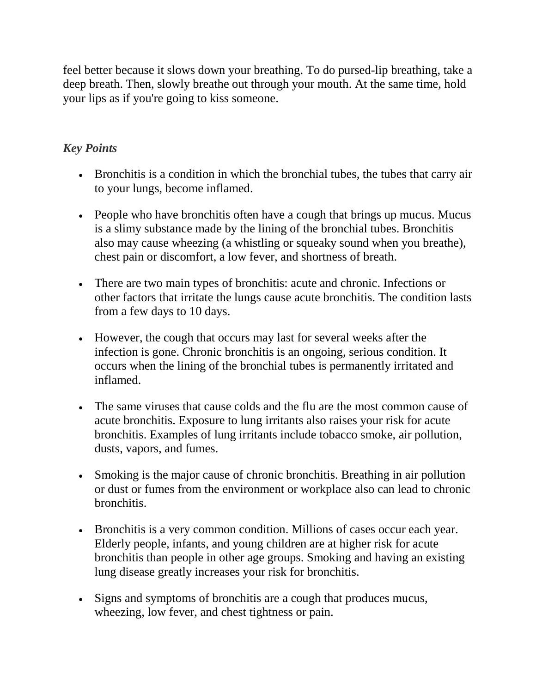feel better because it slows down your breathing. To do pursed-lip breathing, take a deep breath. Then, slowly breathe out through your mouth. At the same time, hold your lips as if you're going to kiss someone.

# *Key Points*

- Bronchitis is a condition in which the bronchial tubes, the tubes that carry air to your lungs, become inflamed.
- People who have bronchitis often have a cough that brings up mucus. Mucus is a slimy substance made by the lining of the bronchial tubes. Bronchitis also may cause wheezing (a whistling or squeaky sound when you breathe), chest pain or discomfort, a low fever, and shortness of breath.
- There are two main types of bronchitis: acute and chronic. Infections or other factors that irritate the lungs cause acute bronchitis. The condition lasts from a few days to 10 days.
- However, the cough that occurs may last for several weeks after the infection is gone. Chronic bronchitis is an ongoing, serious condition. It occurs when the lining of the bronchial tubes is permanently irritated and inflamed.
- The same viruses that cause colds and the flu are the most common cause of acute bronchitis. Exposure to lung irritants also raises your risk for acute bronchitis. Examples of lung irritants include tobacco smoke, air pollution, dusts, vapors, and fumes.
- Smoking is the major cause of chronic bronchitis. Breathing in air pollution or dust or fumes from the environment or workplace also can lead to chronic bronchitis.
- Bronchitis is a very common condition. Millions of cases occur each year. Elderly people, infants, and young children are at higher risk for acute bronchitis than people in other age groups. Smoking and having an existing lung disease greatly increases your risk for bronchitis.
- Signs and symptoms of bronchitis are a cough that produces mucus, wheezing, low fever, and chest tightness or pain.